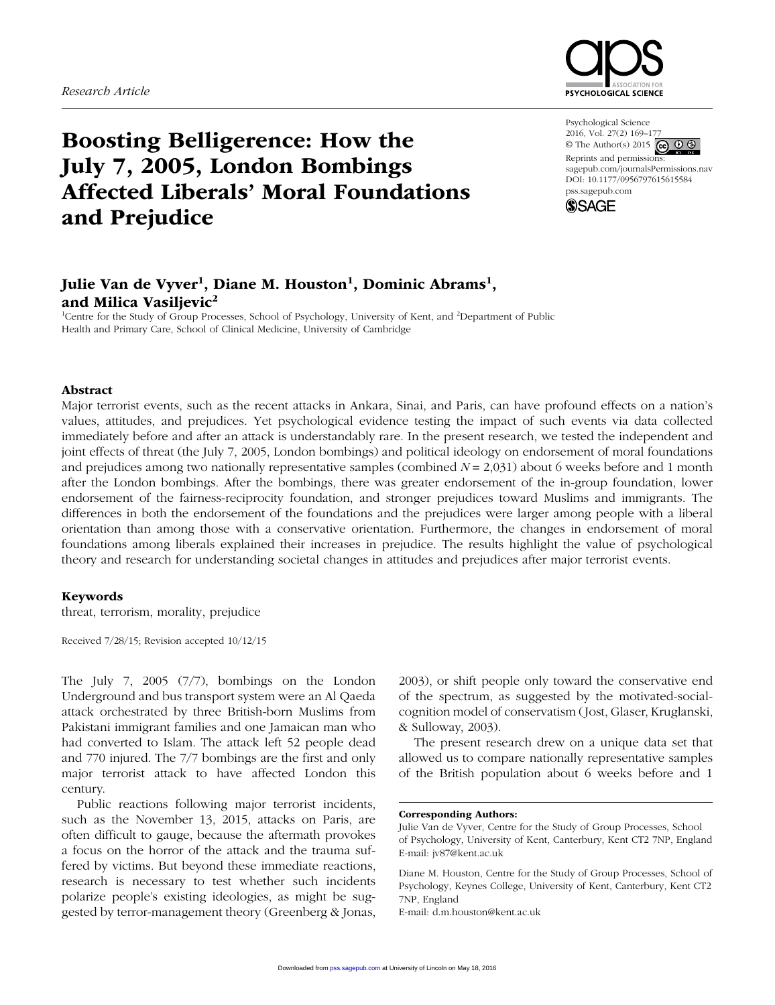

Psychological Science 2016, Vol. 27(2) 169-1 © The Author(s) 2015  $\bigodot$   $\bigodot$   $\bigodot$ Reprints and permissions:

sagepub.com/journalsPermissions.nav DOI: 10.1177/0956797615615584 pss.sagepub.com



# Boosting Belligerence: How the July 7, 2005, London Bombings Affected Liberals' Moral Foundations and Prejudice

# Julie Van de Vyver<sup>1</sup>, Diane M. Houston<sup>1</sup>, Dominic Abrams<sup>1</sup>, and Milica Vasiljevic<sup>2</sup>

<sup>1</sup>Centre for the Study of Group Processes, School of Psychology, University of Kent, and <sup>2</sup>Department of Public Health and Primary Care, School of Clinical Medicine, University of Cambridge

#### Abstract

Major terrorist events, such as the recent attacks in Ankara, Sinai, and Paris, can have profound effects on a nation's values, attitudes, and prejudices. Yet psychological evidence testing the impact of such events via data collected immediately before and after an attack is understandably rare. In the present research, we tested the independent and joint effects of threat (the July 7, 2005, London bombings) and political ideology on endorsement of moral foundations and prejudices among two nationally representative samples (combined *N* = 2,031) about 6 weeks before and 1 month after the London bombings. After the bombings, there was greater endorsement of the in-group foundation, lower endorsement of the fairness-reciprocity foundation, and stronger prejudices toward Muslims and immigrants. The differences in both the endorsement of the foundations and the prejudices were larger among people with a liberal orientation than among those with a conservative orientation. Furthermore, the changes in endorsement of moral foundations among liberals explained their increases in prejudice. The results highlight the value of psychological theory and research for understanding societal changes in attitudes and prejudices after major terrorist events.

#### Keywords

threat, terrorism, morality, prejudice

Received 7/28/15; Revision accepted 10/12/15

The July 7, 2005 (7/7), bombings on the London Underground and bus transport system were an Al Qaeda attack orchestrated by three British-born Muslims from Pakistani immigrant families and one Jamaican man who had converted to Islam. The attack left 52 people dead and 770 injured. The 7/7 bombings are the first and only major terrorist attack to have affected London this century.

Public reactions following major terrorist incidents, such as the November 13, 2015, attacks on Paris, are often difficult to gauge, because the aftermath provokes a focus on the horror of the attack and the trauma suffered by victims. But beyond these immediate reactions, research is necessary to test whether such incidents polarize people's existing ideologies, as might be suggested by terror-management theory (Greenberg & Jonas, 2003), or shift people only toward the conservative end of the spectrum, as suggested by the motivated-socialcognition model of conservatism (Jost, Glaser, Kruglanski, & Sulloway, 2003).

The present research drew on a unique data set that allowed us to compare nationally representative samples of the British population about 6 weeks before and 1

#### Corresponding Authors:

E-mail: d.m.houston@kent.ac.uk

Julie Van de Vyver, Centre for the Study of Group Processes, School of Psychology, University of Kent, Canterbury, Kent CT2 7NP, England E-mail: jv87@kent.ac.uk

Diane M. Houston, Centre for the Study of Group Processes, School of Psychology, Keynes College, University of Kent, Canterbury, Kent CT2 7NP, England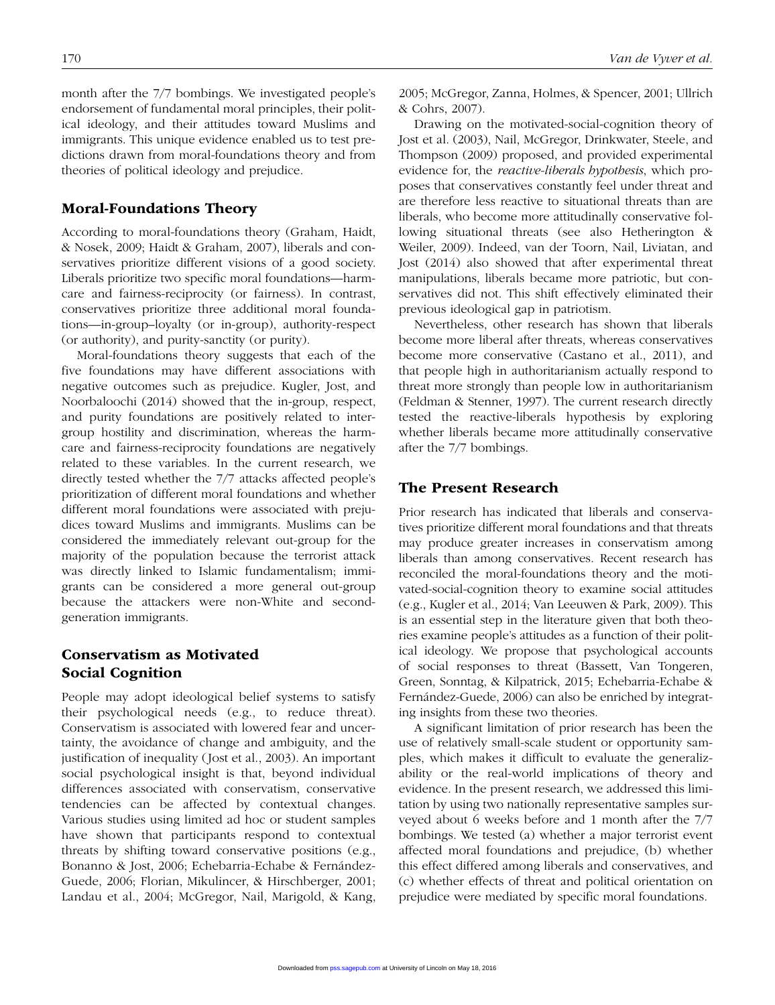month after the 7/7 bombings. We investigated people's endorsement of fundamental moral principles, their political ideology, and their attitudes toward Muslims and immigrants. This unique evidence enabled us to test predictions drawn from moral-foundations theory and from theories of political ideology and prejudice.

#### Moral-Foundations Theory

According to moral-foundations theory (Graham, Haidt, & Nosek, 2009; Haidt & Graham, 2007), liberals and conservatives prioritize different visions of a good society. Liberals prioritize two specific moral foundations—harmcare and fairness-reciprocity (or fairness). In contrast, conservatives prioritize three additional moral foundations—in-group–loyalty (or in-group), authority-respect (or authority), and purity-sanctity (or purity).

Moral-foundations theory suggests that each of the five foundations may have different associations with negative outcomes such as prejudice. Kugler, Jost, and Noorbaloochi (2014) showed that the in-group, respect, and purity foundations are positively related to intergroup hostility and discrimination, whereas the harmcare and fairness-reciprocity foundations are negatively related to these variables. In the current research, we directly tested whether the 7/7 attacks affected people's prioritization of different moral foundations and whether different moral foundations were associated with prejudices toward Muslims and immigrants. Muslims can be considered the immediately relevant out-group for the majority of the population because the terrorist attack was directly linked to Islamic fundamentalism; immigrants can be considered a more general out-group because the attackers were non-White and secondgeneration immigrants.

## Conservatism as Motivated Social Cognition

People may adopt ideological belief systems to satisfy their psychological needs (e.g., to reduce threat). Conservatism is associated with lowered fear and uncertainty, the avoidance of change and ambiguity, and the justification of inequality (Jost et al., 2003). An important social psychological insight is that, beyond individual differences associated with conservatism, conservative tendencies can be affected by contextual changes. Various studies using limited ad hoc or student samples have shown that participants respond to contextual threats by shifting toward conservative positions (e.g., Bonanno & Jost, 2006; Echebarria-Echabe & Fernández-Guede, 2006; Florian, Mikulincer, & Hirschberger, 2001; Landau et al., 2004; McGregor, Nail, Marigold, & Kang, 2005; McGregor, Zanna, Holmes, & Spencer, 2001; Ullrich & Cohrs, 2007).

Drawing on the motivated-social-cognition theory of Jost et al. (2003), Nail, McGregor, Drinkwater, Steele, and Thompson (2009) proposed, and provided experimental evidence for, the *reactive-liberals hypothesis*, which proposes that conservatives constantly feel under threat and are therefore less reactive to situational threats than are liberals, who become more attitudinally conservative following situational threats (see also Hetherington & Weiler, 2009). Indeed, van der Toorn, Nail, Liviatan, and Jost (2014) also showed that after experimental threat manipulations, liberals became more patriotic, but conservatives did not. This shift effectively eliminated their previous ideological gap in patriotism.

Nevertheless, other research has shown that liberals become more liberal after threats, whereas conservatives become more conservative (Castano et al., 2011), and that people high in authoritarianism actually respond to threat more strongly than people low in authoritarianism (Feldman & Stenner, 1997). The current research directly tested the reactive-liberals hypothesis by exploring whether liberals became more attitudinally conservative after the 7/7 bombings.

## The Present Research

Prior research has indicated that liberals and conservatives prioritize different moral foundations and that threats may produce greater increases in conservatism among liberals than among conservatives. Recent research has reconciled the moral-foundations theory and the motivated-social-cognition theory to examine social attitudes (e.g., Kugler et al., 2014; Van Leeuwen & Park, 2009). This is an essential step in the literature given that both theories examine people's attitudes as a function of their political ideology. We propose that psychological accounts of social responses to threat (Bassett, Van Tongeren, Green, Sonntag, & Kilpatrick, 2015; Echebarria-Echabe & Fernández-Guede, 2006) can also be enriched by integrating insights from these two theories.

A significant limitation of prior research has been the use of relatively small-scale student or opportunity samples, which makes it difficult to evaluate the generalizability or the real-world implications of theory and evidence. In the present research, we addressed this limitation by using two nationally representative samples surveyed about 6 weeks before and 1 month after the 7/7 bombings. We tested (a) whether a major terrorist event affected moral foundations and prejudice, (b) whether this effect differed among liberals and conservatives, and (c) whether effects of threat and political orientation on prejudice were mediated by specific moral foundations.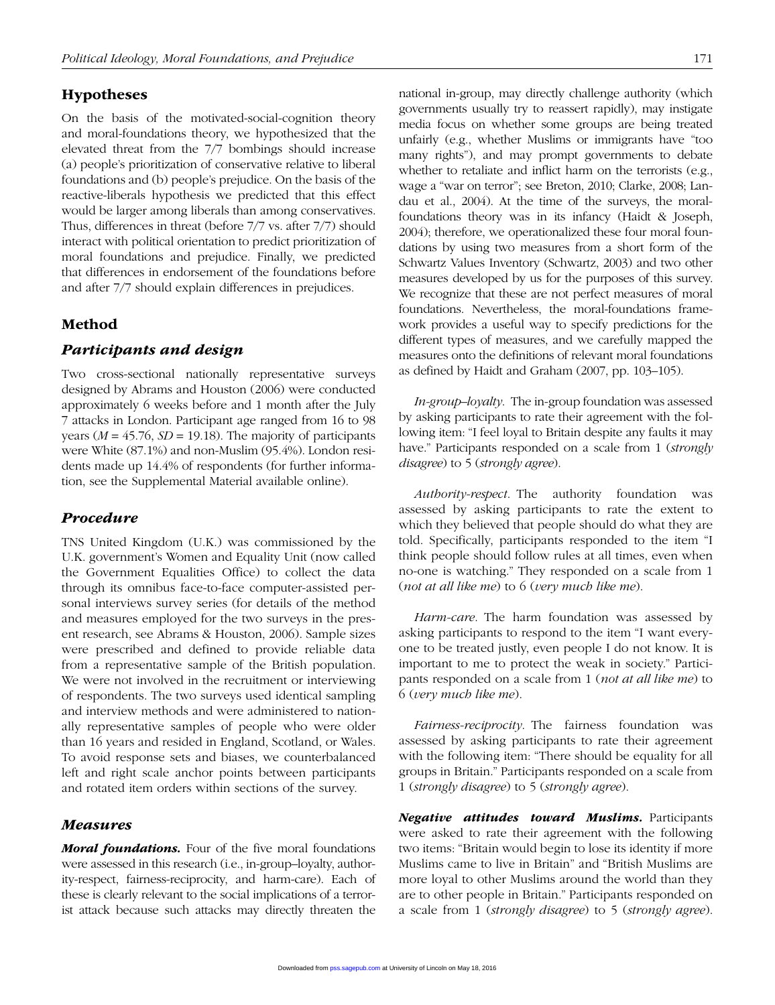## Hypotheses

On the basis of the motivated-social-cognition theory and moral-foundations theory, we hypothesized that the elevated threat from the 7/7 bombings should increase (a) people's prioritization of conservative relative to liberal foundations and (b) people's prejudice. On the basis of the reactive-liberals hypothesis we predicted that this effect would be larger among liberals than among conservatives. Thus, differences in threat (before 7/7 vs. after 7/7) should interact with political orientation to predict prioritization of moral foundations and prejudice. Finally, we predicted that differences in endorsement of the foundations before and after 7/7 should explain differences in prejudices.

## Method

#### *Participants and design*

Two cross-sectional nationally representative surveys designed by Abrams and Houston (2006) were conducted approximately 6 weeks before and 1 month after the July 7 attacks in London. Participant age ranged from 16 to 98 years ( $M = 45.76$ ,  $SD = 19.18$ ). The majority of participants were White (87.1%) and non-Muslim (95.4%). London residents made up 14.4% of respondents (for further information, see the Supplemental Material available online).

## *Procedure*

TNS United Kingdom (U.K.) was commissioned by the U.K. government's Women and Equality Unit (now called the Government Equalities Office) to collect the data through its omnibus face-to-face computer-assisted personal interviews survey series (for details of the method and measures employed for the two surveys in the present research, see Abrams & Houston, 2006). Sample sizes were prescribed and defined to provide reliable data from a representative sample of the British population. We were not involved in the recruitment or interviewing of respondents. The two surveys used identical sampling and interview methods and were administered to nationally representative samples of people who were older than 16 years and resided in England, Scotland, or Wales. To avoid response sets and biases, we counterbalanced left and right scale anchor points between participants and rotated item orders within sections of the survey.

## *Measures*

*Moral foundations.* Four of the five moral foundations were assessed in this research (i.e., in-group–loyalty, authority-respect, fairness-reciprocity, and harm-care). Each of these is clearly relevant to the social implications of a terrorist attack because such attacks may directly threaten the

national in-group, may directly challenge authority (which governments usually try to reassert rapidly), may instigate media focus on whether some groups are being treated unfairly (e.g., whether Muslims or immigrants have "too many rights"), and may prompt governments to debate whether to retaliate and inflict harm on the terrorists (e.g., wage a "war on terror"; see Breton, 2010; Clarke, 2008; Landau et al., 2004). At the time of the surveys, the moralfoundations theory was in its infancy (Haidt & Joseph, 2004); therefore, we operationalized these four moral foundations by using two measures from a short form of the Schwartz Values Inventory (Schwartz, 2003) and two other measures developed by us for the purposes of this survey. We recognize that these are not perfect measures of moral foundations. Nevertheless, the moral-foundations framework provides a useful way to specify predictions for the different types of measures, and we carefully mapped the measures onto the definitions of relevant moral foundations as defined by Haidt and Graham (2007, pp. 103–105).

*In-group–loyalty*. The in-group foundation was assessed by asking participants to rate their agreement with the following item: "I feel loyal to Britain despite any faults it may have." Participants responded on a scale from 1 (*strongly disagree*) to 5 (*strongly agree*).

*Authority-respect*. The authority foundation was assessed by asking participants to rate the extent to which they believed that people should do what they are told. Specifically, participants responded to the item "I think people should follow rules at all times, even when no-one is watching." They responded on a scale from 1 (*not at all like me*) to 6 (*very much like me*).

*Harm-care*. The harm foundation was assessed by asking participants to respond to the item "I want everyone to be treated justly, even people I do not know. It is important to me to protect the weak in society." Participants responded on a scale from 1 (*not at all like me*) to 6 (*very much like me*).

*Fairness-reciprocity*. The fairness foundation was assessed by asking participants to rate their agreement with the following item: "There should be equality for all groups in Britain." Participants responded on a scale from 1 (*strongly disagree*) to 5 (*strongly agree*).

*Negative attitudes toward Muslims.* Participants were asked to rate their agreement with the following two items: "Britain would begin to lose its identity if more Muslims came to live in Britain" and "British Muslims are more loyal to other Muslims around the world than they are to other people in Britain." Participants responded on a scale from 1 (*strongly disagree*) to 5 (*strongly agree*).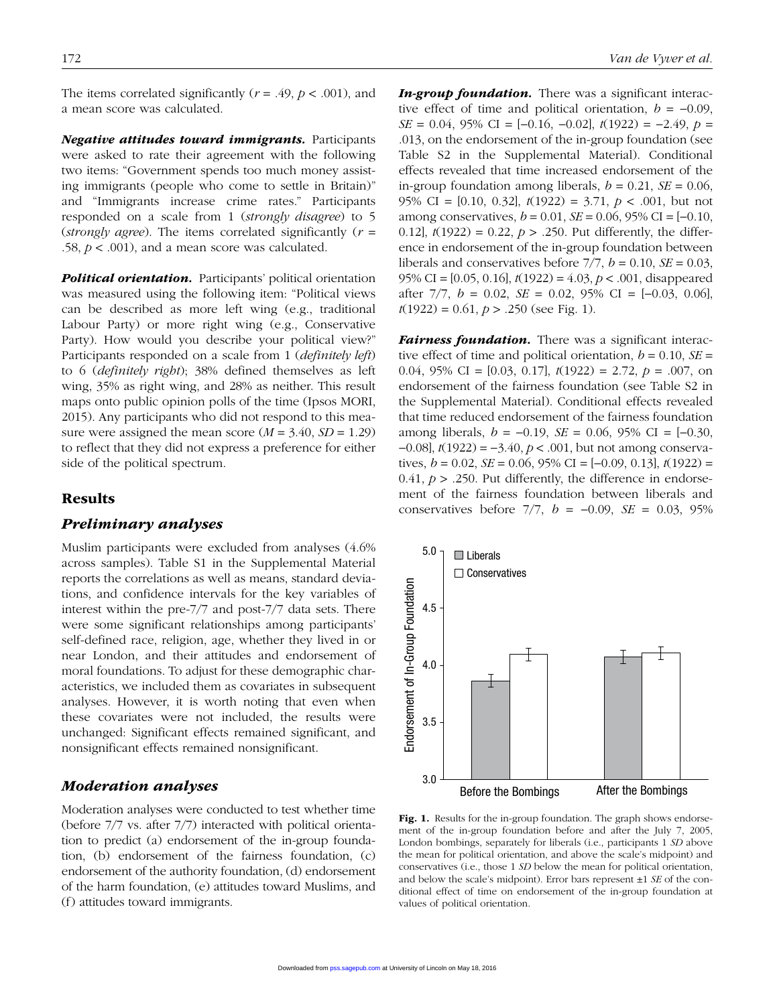The items correlated significantly  $(r = .49, p < .001)$ , and a mean score was calculated.

*Negative attitudes toward immigrants.* Participants were asked to rate their agreement with the following two items: "Government spends too much money assisting immigrants (people who come to settle in Britain)" and "Immigrants increase crime rates." Participants responded on a scale from 1 (*strongly disagree*) to 5 (*strongly agree*). The items correlated significantly (*r* = .58,  $p < .001$ ), and a mean score was calculated.

*Political orientation.* Participants' political orientation was measured using the following item: "Political views can be described as more left wing (e.g., traditional Labour Party) or more right wing (e.g., Conservative Party). How would you describe your political view?" Participants responded on a scale from 1 (*definitely left*) to 6 (*definitely right*); 38% defined themselves as left wing, 35% as right wing, and 28% as neither. This result maps onto public opinion polls of the time (Ipsos MORI, 2015). Any participants who did not respond to this measure were assigned the mean score  $(M = 3.40, SD = 1.29)$ to reflect that they did not express a preference for either side of the political spectrum.

## Results

#### *Preliminary analyses*

Muslim participants were excluded from analyses (4.6% across samples). Table S1 in the Supplemental Material reports the correlations as well as means, standard deviations, and confidence intervals for the key variables of interest within the pre-7/7 and post-7/7 data sets. There were some significant relationships among participants' self-defined race, religion, age, whether they lived in or near London, and their attitudes and endorsement of moral foundations. To adjust for these demographic characteristics, we included them as covariates in subsequent analyses. However, it is worth noting that even when these covariates were not included, the results were unchanged: Significant effects remained significant, and nonsignificant effects remained nonsignificant.

## *Moderation analyses*

Moderation analyses were conducted to test whether time (before 7/7 vs. after 7/7) interacted with political orientation to predict (a) endorsement of the in-group foundation, (b) endorsement of the fairness foundation, (c) endorsement of the authority foundation, (d) endorsement of the harm foundation, (e) attitudes toward Muslims, and (f) attitudes toward immigrants.

*In-group foundation.* There was a significant interactive effect of time and political orientation,  $b = -0.09$ , *SE* = 0.04, 95% CI = [−0.16, −0.02],  $t(1922) = -2.49$ ,  $p =$ .013, on the endorsement of the in-group foundation (see Table S2 in the Supplemental Material). Conditional effects revealed that time increased endorsement of the in-group foundation among liberals,  $b = 0.21$ ,  $SE = 0.06$ , 95% CI = [0.10, 0.32], *t*(1922) = 3.71, *p* < .001, but not among conservatives, *b* = 0.01, *SE* = 0.06, 95% CI = [−0.10, 0.12],  $t(1922) = 0.22$ ,  $p > .250$ . Put differently, the difference in endorsement of the in-group foundation between liberals and conservatives before  $7/7$ ,  $b = 0.10$ ,  $SE = 0.03$ , 95% CI = [0.05, 0.16], *t*(1922) = 4.03, *p* < .001, disappeared after 7/7, *b* = 0.02, *SE* = 0.02, 95% CI = [−0.03, 0.06], *t*(1922) = 0.61, *p* > .250 (see Fig. 1).

*Fairness foundation.* There was a significant interactive effect of time and political orientation,  $b = 0.10$ ,  $SE =$ 0.04, 95% CI = [0.03, 0.17], *t*(1922) = 2.72, *p* = .007, on endorsement of the fairness foundation (see Table S2 in the Supplemental Material). Conditional effects revealed that time reduced endorsement of the fairness foundation among liberals, *b* = −0.19, *SE* = 0.06, 95% CI = [−0.30, −0.08], *t*(1922) = −3.40, *p* < .001, but not among conservatives, *b* = 0.02, *SE* = 0.06, 95% CI = [−0.09, 0.13], *t*(1922) =  $0.41, p > .250$ . Put differently, the difference in endorsement of the fairness foundation between liberals and conservatives before 7/7, *b* = −0.09, *SE* = 0.03, 95%



Fig. 1. Results for the in-group foundation. The graph shows endorsement of the in-group foundation before and after the July 7, 2005, London bombings, separately for liberals (i.e., participants 1 *SD* above the mean for political orientation, and above the scale's midpoint) and conservatives (i.e., those 1 *SD* below the mean for political orientation, and below the scale's midpoint). Error bars represent ±1 *SE* of the conditional effect of time on endorsement of the in-group foundation at values of political orientation.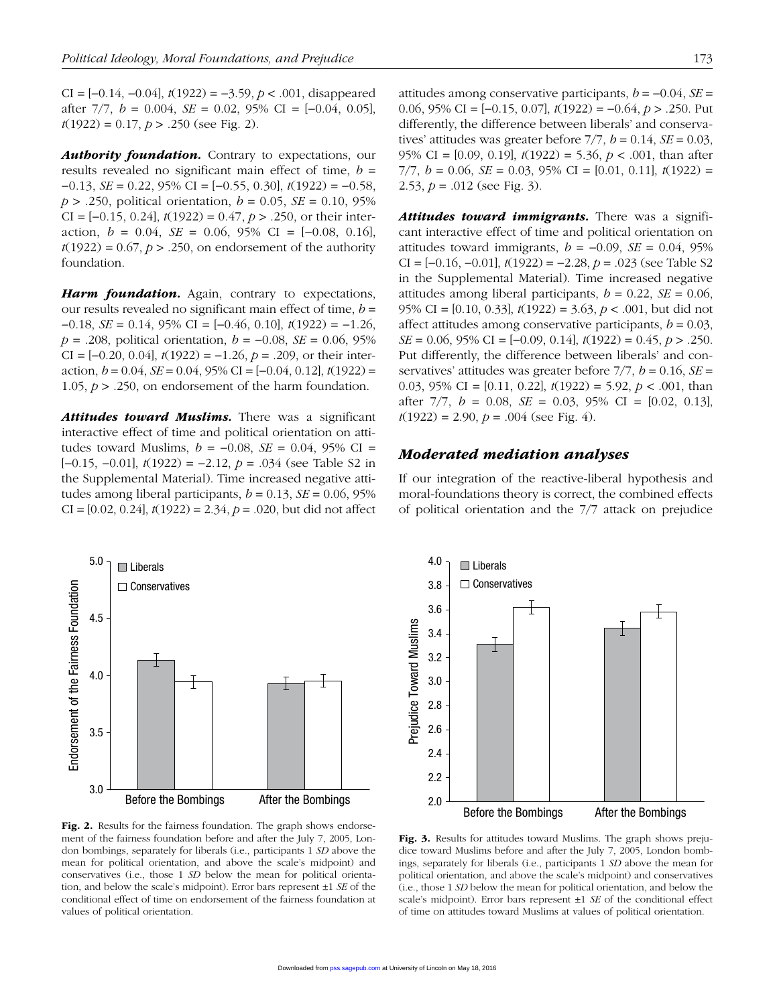CI = [−0.14, −0.04], *t*(1922) = −3.59, *p* < .001, disappeared after 7/7, *b* = 0.004, *SE* = 0.02, 95% CI = [−0.04, 0.05], *t*(1922) = 0.17, *p* > .250 (see Fig. 2).

**Authority foundation.** Contrary to expectations, our results revealed no significant main effect of time, *b* = −0.13, *SE* = 0.22, 95% CI = [−0.55, 0.30], *t*(1922) = −0.58, *p* > .250, political orientation, *b* = 0.05, *SE* = 0.10, 95% CI = [−0.15, 0.24], *t*(1922) = 0.47, *p* > .250, or their interaction,  $b = 0.04$ ,  $SE = 0.06$ ,  $95\%$  CI =  $[-0.08, 0.16]$ ,  $t(1922) = 0.67$ ,  $p > .250$ , on endorsement of the authority foundation.

**Harm foundation.** Again, contrary to expectations, our results revealed no significant main effect of time, *b* = −0.18, *SE* = 0.14, 95% CI = [−0.46, 0.10], *t*(1922) = −1.26, *p* = .208, political orientation, *b* = −0.08, *SE* = 0.06, 95% CI = [−0.20, 0.04], *t*(1922) = −1.26, *p* = .209, or their interaction, *b* = 0.04, *SE* = 0.04, 95% CI = [−0.04, 0.12], *t*(1922) = 1.05,  $p > 0.250$ , on endorsement of the harm foundation.

*Attitudes toward Muslims.* There was a significant interactive effect of time and political orientation on attitudes toward Muslims,  $b = -0.08$ ,  $SE = 0.04$ , 95% CI = [−0.15, −0.01], *t*(1922) = −2.12, *p* = .034 (see Table S2 in the Supplemental Material). Time increased negative attitudes among liberal participants,  $b = 0.13$ ,  $SE = 0.06$ , 95% CI = [0.02, 0.24], *t*(1922) = 2.34, *p* = .020, but did not affect



Fig. 2. Results for the fairness foundation. The graph shows endorsement of the fairness foundation before and after the July 7, 2005, London bombings, separately for liberals (i.e., participants 1 *SD* above the mean for political orientation, and above the scale's midpoint) and conservatives (i.e., those 1 *SD* below the mean for political orientation, and below the scale's midpoint). Error bars represent ±1 *SE* of the conditional effect of time on endorsement of the fairness foundation at values of political orientation.

attitudes among conservative participants,  $b = -0.04$ ,  $SE =$ 0.06, 95% CI = [−0.15, 0.07], *t*(1922) = −0.64, *p* > .250. Put differently, the difference between liberals' and conservatives' attitudes was greater before  $7/7$ ,  $b = 0.14$ ,  $SE = 0.03$ , 95% CI = [0.09, 0.19], *t*(1922) = 5.36, *p* < .001, than after 7/7, *b* = 0.06, *SE* = 0.03, 95% CI = [0.01, 0.11], *t*(1922) = 2.53,  $p = .012$  (see Fig. 3).

*Attitudes toward immigrants.* There was a significant interactive effect of time and political orientation on attitudes toward immigrants,  $b = -0.09$ ,  $SE = 0.04$ , 95% CI = [−0.16, −0.01], *t*(1922) = −2.28, *p* = .023 (see Table S2 in the Supplemental Material). Time increased negative attitudes among liberal participants,  $b = 0.22$ ,  $SE = 0.06$ , 95% CI = [0.10, 0.33], *t*(1922) = 3.63, *p* < .001, but did not affect attitudes among conservative participants,  $b = 0.03$ , *SE* = 0.06, 95% CI = [−0.09, 0.14], *t*(1922) = 0.45, *p* > .250. Put differently, the difference between liberals' and conservatives' attitudes was greater before  $7/7$ ,  $b = 0.16$ ,  $SE =$ 0.03, 95% CI = [0.11, 0.22], *t*(1922) = 5.92, *p* < .001, than after 7/7, *b* = 0.08, *SE* = 0.03, 95% CI = [0.02, 0.13],  $t(1922) = 2.90, p = .004$  (see Fig. 4).

#### *Moderated mediation analyses*

If our integration of the reactive-liberal hypothesis and moral-foundations theory is correct, the combined effects of political orientation and the 7/7 attack on prejudice



Fig. 3. Results for attitudes toward Muslims. The graph shows prejudice toward Muslims before and after the July 7, 2005, London bombings, separately for liberals (i.e., participants 1 *SD* above the mean for political orientation, and above the scale's midpoint) and conservatives (i.e., those 1 *SD* below the mean for political orientation, and below the scale's midpoint). Error bars represent ±1 *SE* of the conditional effect of time on attitudes toward Muslims at values of political orientation.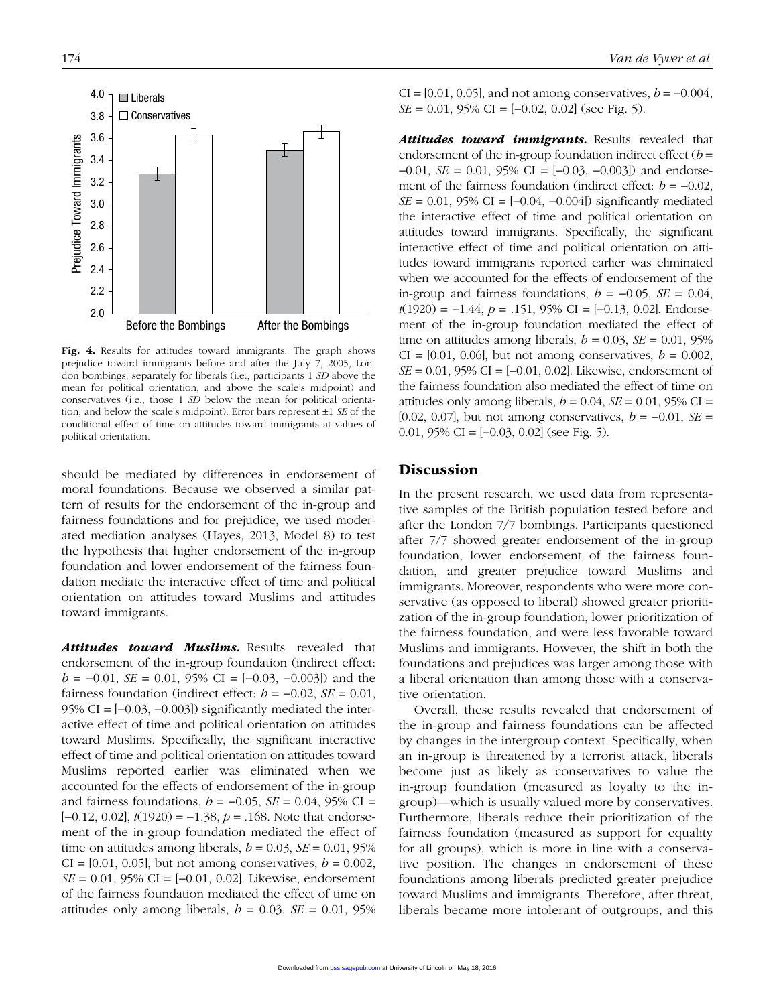

Fig. 4. Results for attitudes toward immigrants. The graph shows prejudice toward immigrants before and after the July 7, 2005, London bombings, separately for liberals (i.e., participants 1 *SD* above the mean for political orientation, and above the scale's midpoint) and conservatives (i.e., those 1 *SD* below the mean for political orientation, and below the scale's midpoint). Error bars represent ±1 *SE* of the conditional effect of time on attitudes toward immigrants at values of political orientation.

should be mediated by differences in endorsement of moral foundations. Because we observed a similar pattern of results for the endorsement of the in-group and fairness foundations and for prejudice, we used moderated mediation analyses (Hayes, 2013, Model 8) to test the hypothesis that higher endorsement of the in-group foundation and lower endorsement of the fairness foundation mediate the interactive effect of time and political orientation on attitudes toward Muslims and attitudes toward immigrants.

Attitudes toward Muslims. Results revealed that endorsement of the in-group foundation (indirect effect:  $b = -0.01$ , *SE* = 0.01, 95% CI = [-0.03, -0.003]) and the fairness foundation (indirect effect:  $b = -0.02$ ,  $SE = 0.01$ , 95% CI =  $[-0.03, -0.003]$  significantly mediated the interactive effect of time and political orientation on attitudes toward Muslims. Specifically, the significant interactive effect of time and political orientation on attitudes toward Muslims reported earlier was eliminated when we accounted for the effects of endorsement of the in-group and fairness foundations,  $b = -0.05$ ,  $SE = 0.04$ , 95% CI = [−0.12, 0.02], *t*(1920) = −1.38, *p* = .168. Note that endorsement of the in-group foundation mediated the effect of time on attitudes among liberals,  $b = 0.03$ ,  $SE = 0.01$ , 95%  $CI = [0.01, 0.05]$ , but not among conservatives,  $b = 0.002$ , *SE* = 0.01, 95% CI = [−0.01, 0.02]. Likewise, endorsement of the fairness foundation mediated the effect of time on attitudes only among liberals,  $b = 0.03$ ,  $SE = 0.01$ , 95%  $CI = [0.01, 0.05]$ , and not among conservatives,  $b = -0.004$ , *SE* = 0.01, 95% CI = [−0.02, 0.02] (see Fig. 5).

Attitudes toward *immigrants*. Results revealed that endorsement of the in-group foundation indirect effect (*b* = −0.01, *SE* = 0.01, 95% CI = [−0.03, −0.003]) and endorsement of the fairness foundation (indirect effect:  $b = -0.02$ , *SE* = 0.01, 95% CI =  $[-0.04, -0.004]$  significantly mediated the interactive effect of time and political orientation on attitudes toward immigrants. Specifically, the significant interactive effect of time and political orientation on attitudes toward immigrants reported earlier was eliminated when we accounted for the effects of endorsement of the in-group and fairness foundations,  $b = -0.05$ ,  $SE = 0.04$ , *t*(1920) = −1.44, *p* = .151, 95% CI = [−0.13, 0.02]. Endorsement of the in-group foundation mediated the effect of time on attitudes among liberals,  $b = 0.03$ ,  $SE = 0.01$ , 95%  $CI = [0.01, 0.06]$ , but not among conservatives,  $b = 0.002$ , *SE* = 0.01, 95% CI = [−0.01, 0.02]. Likewise, endorsement of the fairness foundation also mediated the effect of time on attitudes only among liberals,  $b = 0.04$ ,  $SE = 0.01$ , 95% CI = [0.02, 0.07], but not among conservatives, *b* = −0.01, *SE* = 0.01, 95% CI =  $[-0.03, 0.02]$  (see Fig. 5).

## **Discussion**

In the present research, we used data from representative samples of the British population tested before and after the London 7/7 bombings. Participants questioned after 7/7 showed greater endorsement of the in-group foundation, lower endorsement of the fairness foundation, and greater prejudice toward Muslims and immigrants. Moreover, respondents who were more conservative (as opposed to liberal) showed greater prioritization of the in-group foundation, lower prioritization of the fairness foundation, and were less favorable toward Muslims and immigrants. However, the shift in both the foundations and prejudices was larger among those with a liberal orientation than among those with a conservative orientation.

Overall, these results revealed that endorsement of the in-group and fairness foundations can be affected by changes in the intergroup context. Specifically, when an in-group is threatened by a terrorist attack, liberals become just as likely as conservatives to value the in-group foundation (measured as loyalty to the ingroup)—which is usually valued more by conservatives. Furthermore, liberals reduce their prioritization of the fairness foundation (measured as support for equality for all groups), which is more in line with a conservative position. The changes in endorsement of these foundations among liberals predicted greater prejudice toward Muslims and immigrants. Therefore, after threat, liberals became more intolerant of outgroups, and this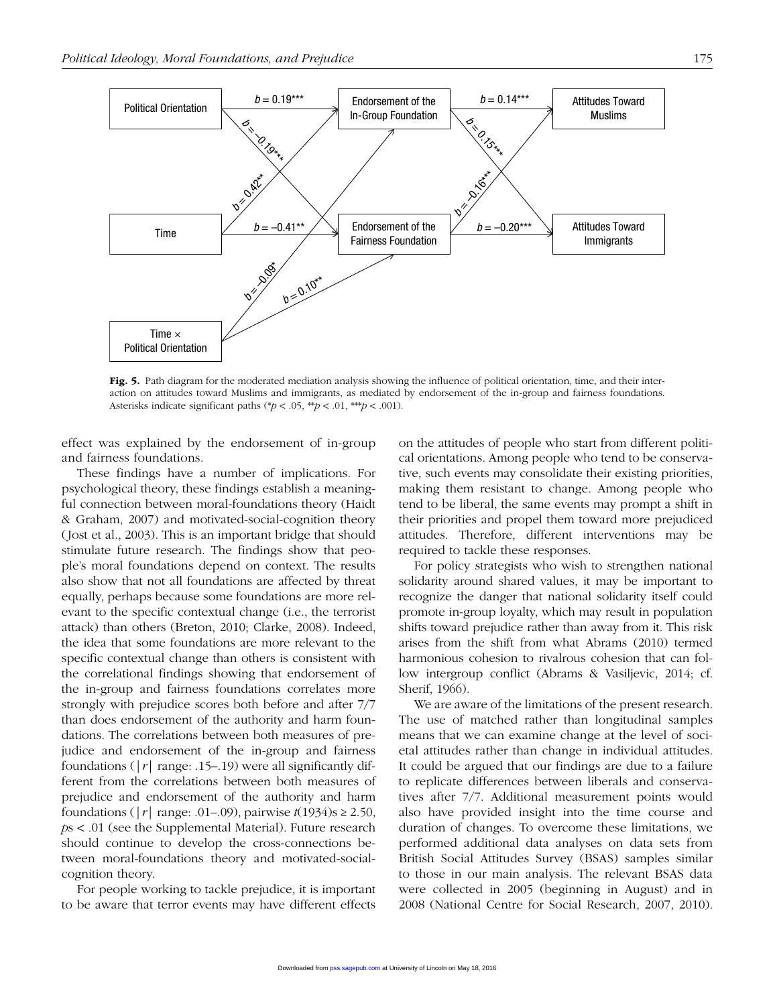

Fig. 5. Path diagram for the moderated mediation analysis showing the influence of political orientation, time, and their interaction on attitudes toward Muslims and immigrants, as mediated by endorsement of the in-group and fairness foundations. Asterisks indicate significant paths (\* $p < .05$ , \*\* $p < .01$ , \*\* $p < .001$ ).

effect was explained by the endorsement of in-group and fairness foundations.

These findings have a number of implications. For psychological theory, these findings establish a meaningful connection between moral-foundations theory (Haidt & Graham, 2007) and motivated-social-cognition theory (Jost et al., 2003). This is an important bridge that should stimulate future research. The findings show that people's moral foundations depend on context. The results also show that not all foundations are affected by threat equally, perhaps because some foundations are more relevant to the specific contextual change (i.e., the terrorist attack) than others (Breton, 2010; Clarke, 2008). Indeed, the idea that some foundations are more relevant to the specific contextual change than others is consistent with the correlational findings showing that endorsement of the in-group and fairness foundations correlates more strongly with prejudice scores both before and after 7/7 than does endorsement of the authority and harm foundations. The correlations between both measures of prejudice and endorsement of the in-group and fairness foundations ( $|r|$  range: .15–.19) were all significantly different from the correlations between both measures of prejudice and endorsement of the authority and harm foundations ( $|r|$  range: .01–.09), pairwise  $t(1934)$ s  $\geq 2.50$ , *p*s < .01 (see the Supplemental Material). Future research should continue to develop the cross-connections between moral-foundations theory and motivated-socialcognition theory.

For people working to tackle prejudice, it is important to be aware that terror events may have different effects on the attitudes of people who start from different political orientations. Among people who tend to be conservative, such events may consolidate their existing priorities, making them resistant to change. Among people who tend to be liberal, the same events may prompt a shift in their priorities and propel them toward more prejudiced attitudes. Therefore, different interventions may be required to tackle these responses.

For policy strategists who wish to strengthen national solidarity around shared values, it may be important to recognize the danger that national solidarity itself could promote in-group loyalty, which may result in population shifts toward prejudice rather than away from it. This risk arises from the shift from what Abrams (2010) termed harmonious cohesion to rivalrous cohesion that can follow intergroup conflict (Abrams & Vasiljevic, 2014; cf. Sherif, 1966).

We are aware of the limitations of the present research. The use of matched rather than longitudinal samples means that we can examine change at the level of societal attitudes rather than change in individual attitudes. It could be argued that our findings are due to a failure to replicate differences between liberals and conservatives after 7/7. Additional measurement points would also have provided insight into the time course and duration of changes. To overcome these limitations, we performed additional data analyses on data sets from British Social Attitudes Survey (BSAS) samples similar to those in our main analysis. The relevant BSAS data were collected in 2005 (beginning in August) and in 2008 (National Centre for Social Research, 2007, 2010).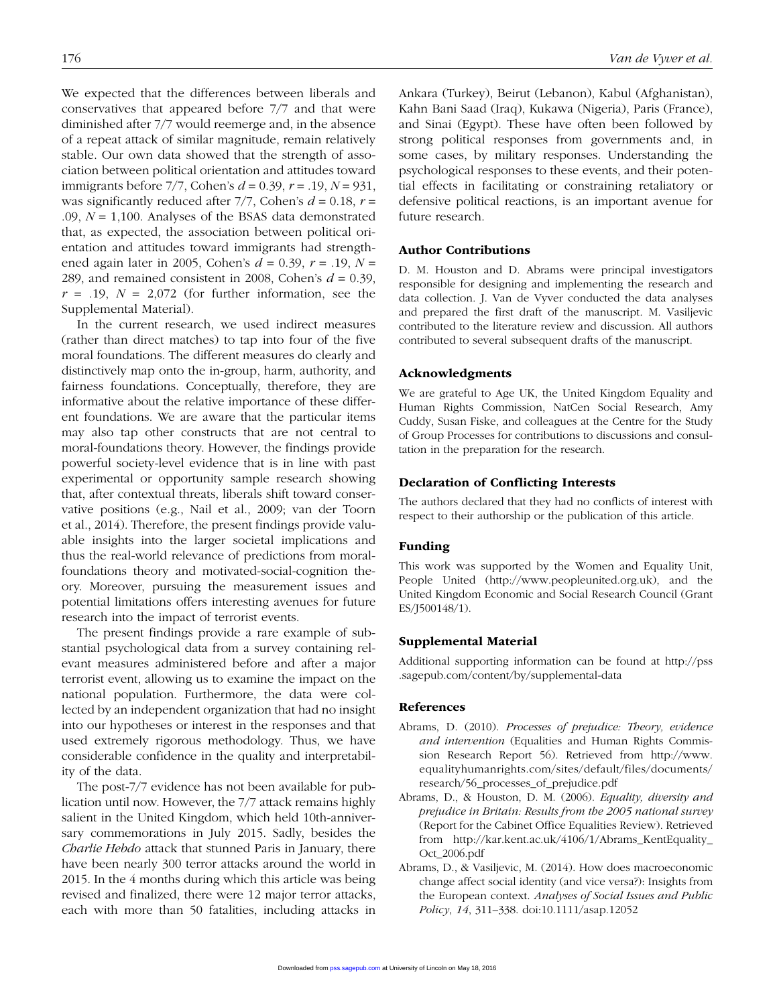We expected that the differences between liberals and conservatives that appeared before 7/7 and that were diminished after 7/7 would reemerge and, in the absence of a repeat attack of similar magnitude, remain relatively stable. Our own data showed that the strength of association between political orientation and attitudes toward immigrants before 7/7, Cohen's *d* = 0.39, *r* = .19, *N* = 931, was significantly reduced after  $7/7$ , Cohen's  $d = 0.18$ ,  $r =$ .09, *N* = 1,100. Analyses of the BSAS data demonstrated that, as expected, the association between political orientation and attitudes toward immigrants had strengthened again later in 2005, Cohen's *d* = 0.39, *r* = .19, *N* = 289, and remained consistent in 2008, Cohen's *d* = 0.39,  $r = .19$ ,  $N = 2,072$  (for further information, see the Supplemental Material).

In the current research, we used indirect measures (rather than direct matches) to tap into four of the five moral foundations. The different measures do clearly and distinctively map onto the in-group, harm, authority, and fairness foundations. Conceptually, therefore, they are informative about the relative importance of these different foundations. We are aware that the particular items may also tap other constructs that are not central to moral-foundations theory. However, the findings provide powerful society-level evidence that is in line with past experimental or opportunity sample research showing that, after contextual threats, liberals shift toward conservative positions (e.g., Nail et al., 2009; van der Toorn et al., 2014). Therefore, the present findings provide valuable insights into the larger societal implications and thus the real-world relevance of predictions from moralfoundations theory and motivated-social-cognition theory. Moreover, pursuing the measurement issues and potential limitations offers interesting avenues for future research into the impact of terrorist events.

The present findings provide a rare example of substantial psychological data from a survey containing relevant measures administered before and after a major terrorist event, allowing us to examine the impact on the national population. Furthermore, the data were collected by an independent organization that had no insight into our hypotheses or interest in the responses and that used extremely rigorous methodology. Thus, we have considerable confidence in the quality and interpretability of the data.

The post-7/7 evidence has not been available for publication until now. However, the 7/7 attack remains highly salient in the United Kingdom, which held 10th-anniversary commemorations in July 2015. Sadly, besides the *Charlie Hebdo* attack that stunned Paris in January, there have been nearly 300 terror attacks around the world in 2015. In the 4 months during which this article was being revised and finalized, there were 12 major terror attacks, each with more than 50 fatalities, including attacks in Ankara (Turkey), Beirut (Lebanon), Kabul (Afghanistan), Kahn Bani Saad (Iraq), Kukawa (Nigeria), Paris (France), and Sinai (Egypt). These have often been followed by strong political responses from governments and, in some cases, by military responses. Understanding the psychological responses to these events, and their potential effects in facilitating or constraining retaliatory or defensive political reactions, is an important avenue for future research.

#### Author Contributions

D. M. Houston and D. Abrams were principal investigators responsible for designing and implementing the research and data collection. J. Van de Vyver conducted the data analyses and prepared the first draft of the manuscript. M. Vasiljevic contributed to the literature review and discussion. All authors contributed to several subsequent drafts of the manuscript.

#### Acknowledgments

We are grateful to Age UK, the United Kingdom Equality and Human Rights Commission, NatCen Social Research, Amy Cuddy, Susan Fiske, and colleagues at the Centre for the Study of Group Processes for contributions to discussions and consultation in the preparation for the research.

#### Declaration of Conflicting Interests

The authors declared that they had no conflicts of interest with respect to their authorship or the publication of this article.

#### Funding

This work was supported by the Women and Equality Unit, People United [\(http://www.peopleunited.org.uk\)](http://www.peopleunited.org.uk), and the United Kingdom Economic and Social Research Council (Grant ES/J500148/1).

#### Supplemental Material

Additional supporting information can be found at [http://pss](http://pss.sagepub.com/content/by/supplemental-data) [.sagepub.com/content/by/supplemental-data](http://pss.sagepub.com/content/by/supplemental-data)

#### References

- Abrams, D. (2010). *Processes of prejudice: Theory, evidence and intervention* (Equalities and Human Rights Commission Research Report 56). Retrieved from [http://www.](http://www.equalityhumanrights.com/sites/default/files/documents/research/56_processes_of_prejudice.pdf) [equalityhumanrights.com/sites/default/files/documents/](http://www.equalityhumanrights.com/sites/default/files/documents/research/56_processes_of_prejudice.pdf) [research/56\\_processes\\_of\\_prejudice.pdf](http://www.equalityhumanrights.com/sites/default/files/documents/research/56_processes_of_prejudice.pdf)
- Abrams, D., & Houston, D. M. (2006). *Equality, diversity and prejudice in Britain: Results from the 2005 national survey* (Report for the Cabinet Office Equalities Review). Retrieved from [http://kar.kent.ac.uk/4106/1/Abrams\\_KentEquality\\_](http://kar.kent.ac.uk/4106/1/Abrams_KentEquality_Oct_2006.pdf) [Oct\\_2006.pdf](http://kar.kent.ac.uk/4106/1/Abrams_KentEquality_Oct_2006.pdf)
- Abrams, D., & Vasiljevic, M. (2014). How does macroeconomic change affect social identity (and vice versa?): Insights from the European context. *Analyses of Social Issues and Public Policy*, *14*, 311–338. doi:10.1111/asap.12052